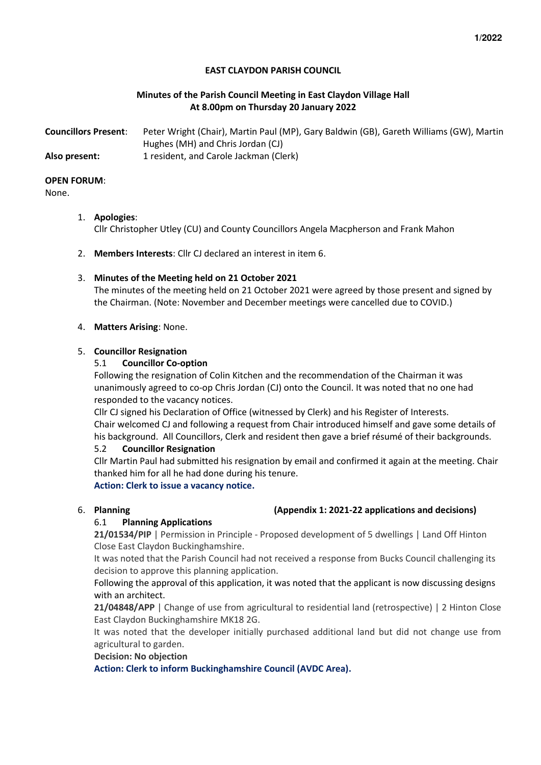## **EAST CLAYDON PARISH COUNCIL**

## **Minutes of the Parish Council Meeting in East Claydon Village Hall At 8.00pm on Thursday 20 January 2022**

| <b>Councillors Present:</b> | Peter Wright (Chair), Martin Paul (MP), Gary Baldwin (GB), Gareth Williams (GW), Martin |
|-----------------------------|-----------------------------------------------------------------------------------------|
|                             | Hughes (MH) and Chris Jordan (CJ)                                                       |
| Also present:               | 1 resident, and Carole Jackman (Clerk)                                                  |

#### **OPEN FORUM**:

### None.

## 1. **Apologies**:

Cllr Christopher Utley (CU) and County Councillors Angela Macpherson and Frank Mahon

2. **Members Interests**: Cllr CJ declared an interest in item 6.

## 3. **Minutes of the Meeting held on 21 October 2021**

The minutes of the meeting held on 21 October 2021 were agreed by those present and signed by the Chairman. (Note: November and December meetings were cancelled due to COVID.)

## 4. **Matters Arising**: None.

## 5. **Councillor Resignation**

## 5.1 **Councillor Co-option**

Following the resignation of Colin Kitchen and the recommendation of the Chairman it was unanimously agreed to co-op Chris Jordan (CJ) onto the Council. It was noted that no one had responded to the vacancy notices.

Cllr CJ signed his Declaration of Office (witnessed by Clerk) and his Register of Interests. Chair welcomed CJ and following a request from Chair introduced himself and gave some details of his background. All Councillors, Clerk and resident then gave a brief résumé of their backgrounds.

## 5.2 **Councillor Resignation**

Cllr Martin Paul had submitted his resignation by email and confirmed it again at the meeting. Chair thanked him for all he had done during his tenure. **Action: Clerk to issue a vacancy notice.** 

### 6. **Planning (Appendix 1: 2021-22 applications and decisions)**

## 6.1 **Planning Applications**

**21/01534/PIP** | Permission in Principle - Proposed development of 5 dwellings | Land Off Hinton Close East Claydon Buckinghamshire.

It was noted that the Parish Council had not received a response from Bucks Council challenging its decision to approve this planning application.

## Following the approval of this application, it was noted that the applicant is now discussing designs with an architect.

**21/04848/APP** | Change of use from agricultural to residential land (retrospective) | 2 Hinton Close East Claydon Buckinghamshire MK18 2G.

It was noted that the developer initially purchased additional land but did not change use from agricultural to garden.

**Decision: No objection** 

**Action: Clerk to inform Buckinghamshire Council (AVDC Area).**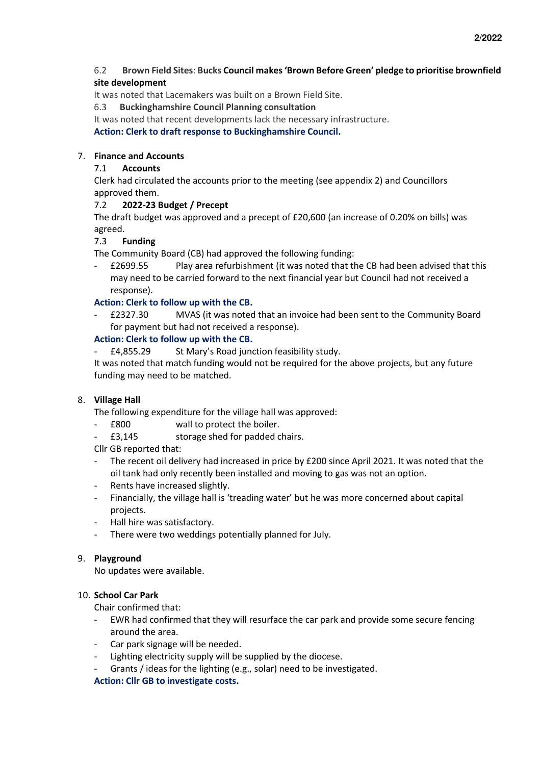## 6.2 **Brown Field Sites**: **Bucks Council makes 'Brown Before Green' pledge to prioritise brownfield site development**

It was noted that Lacemakers was built on a Brown Field Site.

6.3 **Buckinghamshire Council Planning consultation**

It was noted that recent developments lack the necessary infrastructure.

**Action: Clerk to draft response to Buckinghamshire Council.** 

## 7. **Finance and Accounts**

## 7.1 **Accounts**

Clerk had circulated the accounts prior to the meeting (see appendix 2) and Councillors approved them.

## 7.2 **2022-23 Budget / Precept**

The draft budget was approved and a precept of £20,600 (an increase of 0.20% on bills) was agreed.

## 7.3 **Funding**

The Community Board (CB) had approved the following funding:

- £2699.55 Play area refurbishment (it was noted that the CB had been advised that this may need to be carried forward to the next financial year but Council had not received a response).

## **Action: Clerk to follow up with the CB.**

- £2327.30 MVAS (it was noted that an invoice had been sent to the Community Board for payment but had not received a response).

## **Action: Clerk to follow up with the CB.**

- £4,855.29 St Mary's Road junction feasibility study.

It was noted that match funding would not be required for the above projects, but any future funding may need to be matched.

### 8. **Village Hall**

The following expenditure for the village hall was approved:

- £800 wall to protect the boiler.
- £3,145 storage shed for padded chairs.

Cllr GB reported that:

- The recent oil delivery had increased in price by £200 since April 2021. It was noted that the oil tank had only recently been installed and moving to gas was not an option.
- Rents have increased slightly.
- Financially, the village hall is 'treading water' but he was more concerned about capital projects.
- Hall hire was satisfactory.
- There were two weddings potentially planned for July.

### 9. **Playground**

No updates were available.

### 10. **School Car Park**

Chair confirmed that:

- EWR had confirmed that they will resurface the car park and provide some secure fencing around the area.
- Car park signage will be needed.
- Lighting electricity supply will be supplied by the diocese.
- Grants / ideas for the lighting (e.g., solar) need to be investigated.

### **Action: Cllr GB to investigate costs.**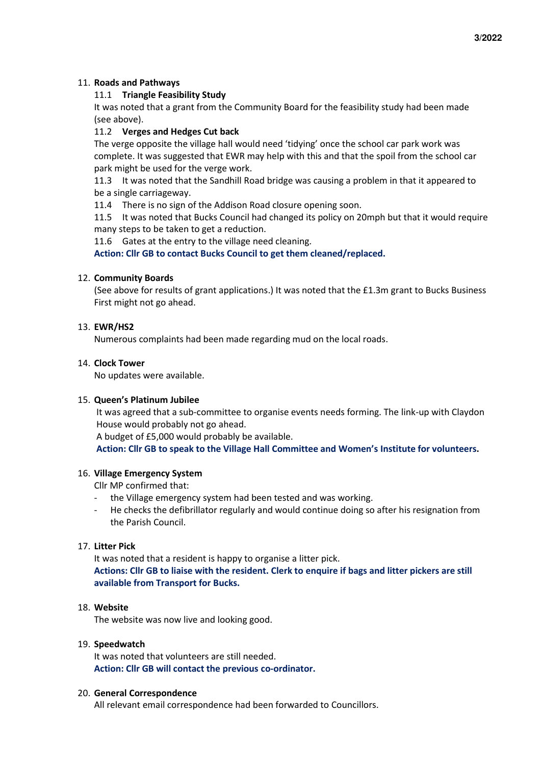## 11. **Roads and Pathways**

## 11.1 **Triangle Feasibility Study**

It was noted that a grant from the Community Board for the feasibility study had been made (see above).

## 11.2 **Verges and Hedges Cut back**

The verge opposite the village hall would need 'tidying' once the school car park work was complete. It was suggested that EWR may help with this and that the spoil from the school car park might be used for the verge work.

11.3 It was noted that the Sandhill Road bridge was causing a problem in that it appeared to be a single carriageway.

11.4 There is no sign of the Addison Road closure opening soon.

11.5 It was noted that Bucks Council had changed its policy on 20mph but that it would require many steps to be taken to get a reduction.

11.6 Gates at the entry to the village need cleaning.

**Action: Cllr GB to contact Bucks Council to get them cleaned/replaced.** 

## 12. **Community Boards**

(See above for results of grant applications.) It was noted that the £1.3m grant to Bucks Business First might not go ahead.

## 13. **EWR/HS2**

Numerous complaints had been made regarding mud on the local roads.

## 14. **Clock Tower**

No updates were available.

### 15. **Queen's Platinum Jubilee**

It was agreed that a sub-committee to organise events needs forming. The link-up with Claydon House would probably not go ahead.

A budget of £5,000 would probably be available.

**Action: Cllr GB to speak to the Village Hall Committee and Women's Institute for volunteers.** 

### 16. **Village Emergency System**

Cllr MP confirmed that:

- the Village emergency system had been tested and was working.
- He checks the defibrillator regularly and would continue doing so after his resignation from the Parish Council.

### 17. **Litter Pick**

It was noted that a resident is happy to organise a litter pick. **Actions: Cllr GB to liaise with the resident. Clerk to enquire if bags and litter pickers are still available from Transport for Bucks.** 

### 18. **Website**

The website was now live and looking good.

### 19. **Speedwatch**

It was noted that volunteers are still needed. **Action: Cllr GB will contact the previous co-ordinator.** 

### 20. **General Correspondence**

All relevant email correspondence had been forwarded to Councillors.